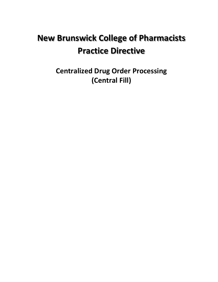# **New Brunswick College of Pharmacists Practice Directive**

**Centralized Drug Order Processing (Central Fill)**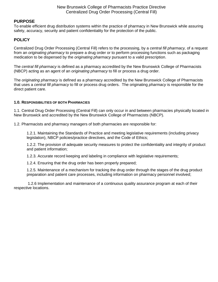New Brunswick College of Pharmacists Practice Directive Centralized Drug Order Processing (Central Fill)

## **PURPOSE**

To enable efficient drug distribution systems within the practice of pharmacy in New Brunswick while assuring safety, accuracy, security and patient confidentiality for the protection of the public.

## **POLICY**

Centralized Drug Order Processing (Central Fill) refers to the processing, by a *central fill pharmacy,* of a request from an *originating pharmacy* to prepare a drug order or to perform processing functions such as packaging medication to be dispensed by the *originating pharmacy* pursuant to a valid prescription.

The *central fill pharmacy* is defined as a pharmacy accredited by the New Brunswick College of Pharmacists (NBCP) acting as an agent of an *originating pharmacy* to fill or process a drug order.

The *originating pharmacy* is defined as a pharmacy accredited by the New Brunswick College of Pharmacists that uses a *central fill pharmacy* to fill or process drug orders. The originating *pharmacy* is responsible for the direct patient care.

#### **1.0. RESPONSIBILITIES OF BOTH PHARMACIES**

1.1. Central Drug Order Processing (Central Fill) can only occur in and between pharmacies physically located in New Brunswick and accredited by the New Brunswick College of Pharmacists (NBCP).

1.2. Pharmacists and pharmacy managers of both pharmacies are responsible for:

1.2.1. Maintaining the Standards of Practice and meeting legislative requirements (including privacy legislation), NBCP policies/practice directives, and the Code of Ethics;

1.2.2. The provision of adequate security measures to protect the confidentiality and integrity of product and patient information;

1.2.3. Accurate record keeping and labeling in compliance with legislative requirements;

1.2.4. Ensuring that the drug order has been properly prepared;

1.2.5. Maintenance of a mechanism for tracking the drug order through the stages of the drug product preparation and patient care processes, including information on pharmacy personnel involved;

1.2.6 Implementation and maintenance of a continuous quality assurance program at each of their respective locations.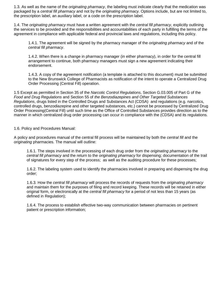1.3. As well as the name of the *originating pharmacy*, the labeling must indicate clearly that the medication was packaged by a *central fill pharmacy* and not by the *originating pharmacy.* Options include, but are not limited to, the prescription label, an auxiliary label, or a code on the prescription label.

1.4. The *originating pharmacy* must have a written agreement with the *central fill pharmacy*, explicitly outlining the services to be provided and the responsibilities and accountabilities of each party in fulfilling the terms of the agreement in compliance with applicable federal and provincial laws and regulations, including this policy.

1.4.1. The agreement will be signed by the pharmacy manager of the *originating pharmacy* and of the *central fill pharmacy*.

1.4.2. When there is a change in pharmacy manager (in either pharmacy), in order for the central fill arrangement to continue, both pharmacy managers must sign a new agreement indicating their endorsement.

1.4.3. A copy of the agreement notification (a template is attached to this document) must be submitted to the New Brunswick College of Pharmacists as notification of the intent to operate a Centralized Drug Order Processing (Central Fill) operation.

1.5 Except as permitted in Section 35 of the *Narcotic Control Regulations*, Section G.03.005 of Part G of the *Food and Drug Regulations* and Section 55 of *the Benzodiazepines and Other Targeted Substances Regulations*, drugs listed in the Controlled Drugs and Substances Act (CDSA) and regulations (e.g. narcotics, controlled drugs, benzodiazepine and other targeted substances, etc.) cannot be processed by Centralized Drug Order Processing(Central Fill) until such time as the Office of Controlled Substances provides direction as to the manner in which centralized drug order processing can occur in compliance with the (CDSA) and its regulations.

1.6. Policy and Procedures Manual:

A policy and procedures manual of the central fill process will be maintained by both the *central fill* and the *originating* pharmacies. The manual will outline:

1.6.1. The steps involved in the processing of each drug order from the *originating pharmacy* to the *central fill pharmacy* and the return to the *originating pharmacy* for dispensing; documentation of the trail of signatures for every step of the process; as well as the auditing procedure for these processes;

1.6.2. The labeling system used to identify the pharmacies involved in preparing and dispensing the drug order;

1.6.3. How the *central fill pharmacy* will process the records of requests from the *originating pharmacy*  and maintain them for the purposes of filing and record keeping. These records will be retained in either original form, or electronically at the *central fill pharmacy* for a period of not less than 15 years (as defined in Regulation);

1.6.4. The process to establish effective two-way communication between pharmacies on pertinent patient or prescription information;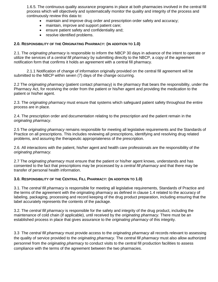1.6.5. The continuous quality assurance programs in place at both pharmacies involved in the central fill process which will objectively and systematically monitor the quality and integrity of the process and continuously review this data to:

- maintain and improve drug order and prescription order safety and accuracy;
- maintain, improve and support patient care;
- ensure patient safety and confidentiality and;
- resolve identified problems.

#### **2.0. RESPONSIBILITY OF THE ORIGINATING PHARMACY: (IN ADDITION TO 1.0)**

2.1. The *originating pharmacy* is responsible to inform the NBCP 30 days in advance of the intent to operate or utilize the services of a *central fill pharmacy* by submitting directly to the NBCP, a copy of the agreement notification form that confirms it holds an agreement with a central fill pharmacy.

2.1.1 Notification of change of information originally provided on the central fill agreement will be submitted to the NBCP within seven (7) days of the change occurring.

2.2 The *originating pharmacy* (patient contact pharmacy) is the pharmacy that bears the responsibility, under the Pharmacy Act, for receiving the order from the patient or his/her agent and providing the medication to the patient or his/her agent.

2.3. The *originating pharmacy* must ensure that systems which safeguard patient safety throughout the entire process are in place.

2.4. The prescription order and documentation relating to the prescription and the patient remain in the *originating pharmacy*.

2.5 The *originating pharmacy* remains responsible for meeting all legislative requirements and the Standards of Practice on all prescriptions. This includes reviewing all prescriptions, identifying and resolving drug related problems, and assuring the therapeutic appropriateness of the prescription.

2.6. All interactions with the patient, his/her agent and health care professionals are the responsibility of the *originating pharmacy.* 

2.7 The *originating pharmacy* must ensure that the patient or his/her agent knows, understands and has consented to the fact that prescriptions may be processed by a *central fill pharmacy* and that there may be transfer of personal health information.

#### **3.0. RESPONSIBILITY OF THE CENTRAL FILL PHARMACY: (IN ADDITION TO 1.0)**

3.1. The *central fill pharmacy* is responsible for meeting all legislative requirements, Standards of Practice and the terms of the agreement with the originating pharmacy as defined in clause 1.4 related to the accuracy of labeling, packaging, processing and record keeping of the drug product preparation, including ensuring that the label accurately represents the contents of the package.

3.2. The *central fill pharmacy* is responsible for the safety and integrity of the drug product, including the maintenance of cold chain (if applicable), until received by the *originating pharmacy.* There must be an established process in place that gives assurance to the *originating pharmacy* of this integrity.

3.3 The *central fill pharmacy* must provide access to the *originating pharmacy* all records relevant to assessing the quality of service provided to the *originating pharmacy*. The *central fill pharmacy* must also allow authorized personnel from the *originating pharmacy* to conduct visits to the central fill production facilities to assess compliance with the terms of the agreement between the two pharmacies.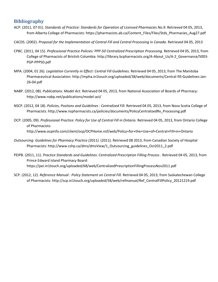# **Bibliography**

- ACP. (2011, 07 01). *Standards of Practice: Standards for Operation of Licensed Pharmacies No.9.* Retrieved 04 05, 2013, from Alberta College of Pharmacists: https://pharmacists.ab.ca/Content\_Files/Files/Stds\_Pharmacies\_Aug27.pdf
- CACDS. (2002). *Proposal for the Implementation of Central Fill and Central Processing in Canada.* Retrieved 04 05, 2013
- CPBC. (2011, 04 15). *Professional Practice Policies: PPP-50 Centralized Prescription Processing.* Retrieved 04 05, 2013, from College of Pharmacists of Bristish Columbia: http://library.bcpharmacists.org/A-About\_Us/A-2\_Governance/5003- PGP-PPP50.pdf
- MPA. (2004, 01 26). *Legislation Currently in Effect: Central Fill Guidelines.* Retrieved 04 05, 2013, from The Manitoba Pharmaceutical Association: http://mpha.in1touch.org/uploaded/38/web/documents/Central-fill-Guidelines-Jan-26-04.pdf
- NABP. (2012, 08). *Publications: Model Act.* Retrieved 04 05, 2013, from National Association of Boards of Pharmacy: http://www.nabp.net/publications/model-act/
- NSCP. (2012, 04 18). *Policies, Positons and Guidelines : Centralized Fill.* Retrieved 04 05, 2013, from Nova Scotia College of Pharmacists: http://www.nspharmacists.ca/policies/documents/PolicyCentralizedRx\_Processing.pdf
- OCP. (2005, 09). *Professional Practice: Policy for Use of Central Fill in Ontario.* Retrieved 04 05, 2013, from Ontario College of Pharmacists: http://www.ocpinfo.com/client/ocp/OCPHome.nsf/web/Policy+for+the+Use+of+Central+Fill+in+Ontario
- *Outsourcing: Guidelines for Pharmacy Practice (2011).* (2011). Retrieved 08 2013, from Canadian Society of Hospital Pharmacists: http://www.cshp.ca/dms/dmsView/1\_Outsourcing\_guidelines\_Oct2011\_2.pdf
- PEIPB. (2011, 11). *Practice Standards and Guidelines: Centralized Prescription Filling Process .* Retrieved 04 05, 2013, from Prince Edward Island Pharmacy Board: https://pei.in1touch.org/uploaded/68/web/CentralizedPrescriptionFillingProcessNov2011.pdf
- SCP. (2012, 12). *Reference Manual : Policy Statement on Central Fill.* Retrieved 04 05, 2013, from Saskatechewan College of Pharmacists: http://scp.in1touch.org/uploaded/58/web/refmanual/Ref\_CentralFillPolicy\_20121219.pdf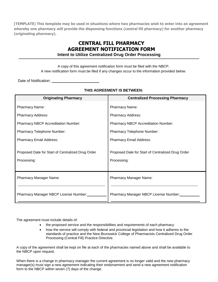**(TEMPLATE) This template may be used in situations where two pharmacies wish to enter into an agreement whereby one pharmacy will provide the dispensing functions (central fill pharmacy) for another pharmacy (originating pharmacy).** 

# **CENTRAL FILL PHARMACY AGREEMENT NOTIFICATION FORM Intent to Utilize Centralized Drug Order Processing**

A copy of this agreement notification form must be filed with the NBCP. A new notification form must be filed if any changes occur to the information provided below.

Date of Notification:

| <b>Originating Pharmacy</b>                                      | <b>Centralized Processing Pharmacy</b>                           |
|------------------------------------------------------------------|------------------------------------------------------------------|
| <b>Pharmacy Name:</b>                                            | Pharmacy Name:                                                   |
| <b>Pharmacy Address:</b>                                         | <b>Pharmacy Address:</b>                                         |
| <b>Pharmacy NBCP Accreditation Number:</b>                       | <b>Pharmacy NBCP Accreditation Number:</b>                       |
| <b>Pharmacy Telephone Number:</b>                                | Pharmacy Telephone Number:                                       |
| <b>Pharmacy Email Address:</b>                                   | <b>Pharmacy Email Address:</b>                                   |
| Proposed Date for Start of Centralized Drug Order<br>Processing: | Proposed Date for Start of Centralized Drug Order<br>Processing: |
| <b>Pharmacy Manager Name:</b>                                    | <b>Pharmacy Manager Name:</b>                                    |
| Pharmacy Manager NBCP License Number:                            | Pharmacy Manager NBCP License Number:                            |

## **THIS AGREEMENT IS BETWEEN:**

The agreement must include details of:

- the proposed service and the responsibilities and requirements of each pharmacy
- how the service will comply with federal and provincial legislation and how it adheres to the standards of practice and the New Brunswick College of Pharmacists Centralized Drug Order Processing (Central Fill) Practice Directive.

A copy of the agreement shall be kept on file at each of the pharmacies named above and shall be available to the NBCP upon request.

When there is a change in pharmacy manager the current agreement is no longer valid and the new pharmacy manager(s) must sign a new agreement indicating their endorsement and send a new agreement notification form to the NBCP within seven (7) days of the change.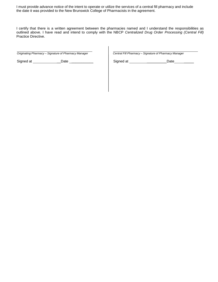I must provide advance notice of the intent to operate or utilize the services of a central fill pharmacy and include the date it was provided to the New Brunswick College of Pharmacists in the agreement.

I certify that there is a written agreement between the pharmacies named and I understand the responsibilities as outlined above. I have read and intend to comply with the NBCP *Centralized Drug Order Processing (Central Fill)* Practice Directive.

*Originating Pharmacy – Signature of Pharmacy Manager Central Fill Pharmacy – Signature of Pharmacy Manager*

Signed at \_\_\_\_\_\_\_\_\_\_\_\_\_Date \_\_\_\_\_\_\_\_\_\_\_\_\_\_\_ | Signed at \_\_\_\_\_\_\_\_\_\_\_\_\_\_\_\_\_Date \_\_\_\_\_\_\_\_